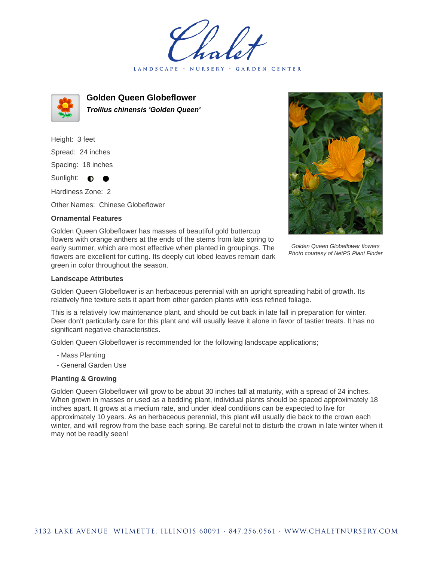LANDSCAPE · NURSERY · GARDEN CENTER



**Golden Queen Globeflower Trollius chinensis 'Golden Queen'**

Height: 3 feet Spread: 24 inches Spacing: 18 inches Sunlight: **D C** 

Hardiness Zone: 2

Other Names: Chinese Globeflower

## **Ornamental Features**



Golden Queen Globeflower flowers Photo courtesy of NetPS Plant Finder

Golden Queen Globeflower has masses of beautiful gold buttercup flowers with orange anthers at the ends of the stems from late spring to early summer, which are most effective when planted in groupings. The flowers are excellent for cutting. Its deeply cut lobed leaves remain dark green in color throughout the season.

## **Landscape Attributes**

Golden Queen Globeflower is an herbaceous perennial with an upright spreading habit of growth. Its relatively fine texture sets it apart from other garden plants with less refined foliage.

This is a relatively low maintenance plant, and should be cut back in late fall in preparation for winter. Deer don't particularly care for this plant and will usually leave it alone in favor of tastier treats. It has no significant negative characteristics.

Golden Queen Globeflower is recommended for the following landscape applications;

- Mass Planting
- General Garden Use

## **Planting & Growing**

Golden Queen Globeflower will grow to be about 30 inches tall at maturity, with a spread of 24 inches. When grown in masses or used as a bedding plant, individual plants should be spaced approximately 18 inches apart. It grows at a medium rate, and under ideal conditions can be expected to live for approximately 10 years. As an herbaceous perennial, this plant will usually die back to the crown each winter, and will regrow from the base each spring. Be careful not to disturb the crown in late winter when it may not be readily seen!